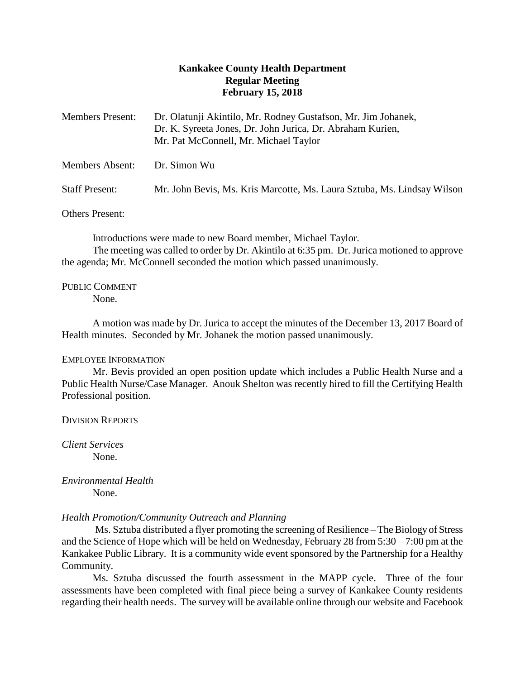# **Kankakee County Health Department Regular Meeting February 15, 2018**

| <b>Members Present:</b> | Dr. Olatunji Akintilo, Mr. Rodney Gustafson, Mr. Jim Johanek,<br>Dr. K. Syreeta Jones, Dr. John Jurica, Dr. Abraham Kurien,<br>Mr. Pat McConnell, Mr. Michael Taylor |
|-------------------------|----------------------------------------------------------------------------------------------------------------------------------------------------------------------|
| Members Absent:         | Dr. Simon Wu                                                                                                                                                         |
| <b>Staff Present:</b>   | Mr. John Bevis, Ms. Kris Marcotte, Ms. Laura Sztuba, Ms. Lindsay Wilson                                                                                              |

Others Present:

Introductions were made to new Board member, Michael Taylor. The meeting was called to order by Dr. Akintilo at 6:35 pm. Dr.Jurica motioned to approve the agenda; Mr. McConnell seconded the motion which passed unanimously.

PUBLIC COMMENT None.

A motion was made by Dr. Jurica to accept the minutes of the December 13, 2017 Board of Health minutes. Seconded by Mr. Johanek the motion passed unanimously.

# EMPLOYEE INFORMATION

Mr. Bevis provided an open position update which includes a Public Health Nurse and a Public Health Nurse/Case Manager. Anouk Shelton was recently hired to fill the Certifying Health Professional position.

DIVISION REPORTS

*Client Services* None.

*Environmental Health* None.

# *Health Promotion/Community Outreach and Planning*

Ms. Sztuba distributed a flyer promoting the screening of Resilience – The Biology of Stress and the Science of Hope which will be held on Wednesday, February 28 from 5:30 – 7:00 pm at the Kankakee Public Library. It is a community wide event sponsored by the Partnership for a Healthy Community.

Ms. Sztuba discussed the fourth assessment in the MAPP cycle. Three of the four assessments have been completed with final piece being a survey of Kankakee County residents regarding their health needs. The survey will be available online through our website and Facebook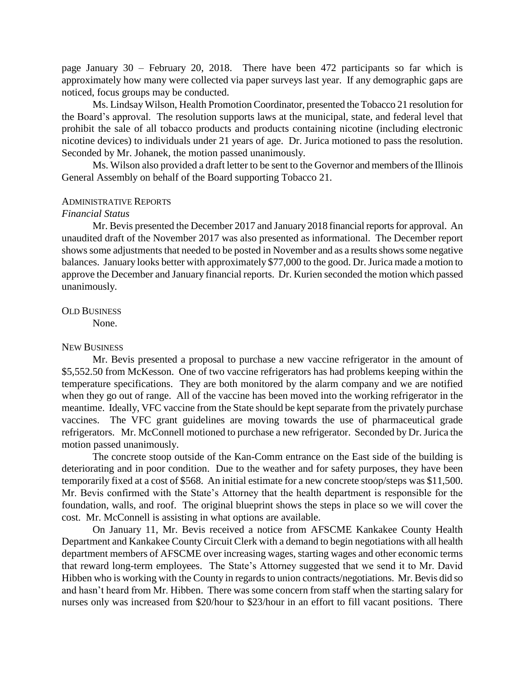page January 30 – February 20, 2018. There have been 472 participants so far which is approximately how many were collected via paper surveys last year. If any demographic gaps are noticed, focus groups may be conducted.

Ms. Lindsay Wilson, Health Promotion Coordinator, presented the Tobacco 21 resolution for the Board's approval. The resolution supports laws at the municipal, state, and federal level that prohibit the sale of all tobacco products and products containing nicotine (including electronic nicotine devices) to individuals under 21 years of age. Dr. Jurica motioned to pass the resolution. Seconded by Mr. Johanek, the motion passed unanimously.

Ms. Wilson also provided a draft letter to be sent to the Governor and members of the Illinois General Assembly on behalf of the Board supporting Tobacco 21.

#### ADMINISTRATIVE REPORTS

### *Financial Status*

Mr. Bevis presented the December 2017 and January 2018 financial reports for approval. An unaudited draft of the November 2017 was also presented as informational. The December report shows some adjustments that needed to be posted in November and as a results shows some negative balances. January looks better with approximately \$77,000 to the good. Dr. Jurica made a motion to approve the December and January financial reports. Dr. Kurien seconded the motion which passed unanimously.

### OLD BUSINESS

None.

### NEW BUSINESS

Mr. Bevis presented a proposal to purchase a new vaccine refrigerator in the amount of \$5,552.50 from McKesson. One of two vaccine refrigerators has had problems keeping within the temperature specifications. They are both monitored by the alarm company and we are notified when they go out of range. All of the vaccine has been moved into the working refrigerator in the meantime. Ideally, VFC vaccine from the State should be kept separate from the privately purchase vaccines. The VFC grant guidelines are moving towards the use of pharmaceutical grade refrigerators. Mr. McConnell motioned to purchase a new refrigerator. Seconded by Dr. Jurica the motion passed unanimously.

The concrete stoop outside of the Kan-Comm entrance on the East side of the building is deteriorating and in poor condition. Due to the weather and for safety purposes, they have been temporarily fixed at a cost of \$568. An initial estimate for a new concrete stoop/steps was \$11,500. Mr. Bevis confirmed with the State's Attorney that the health department is responsible for the foundation, walls, and roof. The original blueprint shows the steps in place so we will cover the cost. Mr. McConnell is assisting in what options are available.

On January 11, Mr. Bevis received a notice from AFSCME Kankakee County Health Department and Kankakee County Circuit Clerk with a demand to begin negotiations with all health department members of AFSCME over increasing wages, starting wages and other economic terms that reward long-term employees. The State's Attorney suggested that we send it to Mr. David Hibben who is working with the County in regards to union contracts/negotiations. Mr. Bevis did so and hasn't heard from Mr. Hibben. There was some concern from staff when the starting salary for nurses only was increased from \$20/hour to \$23/hour in an effort to fill vacant positions. There